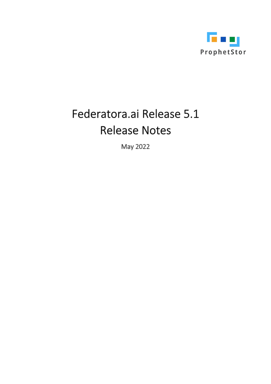

# Federatora.ai Release 5.1 **Release Notes**

May 2022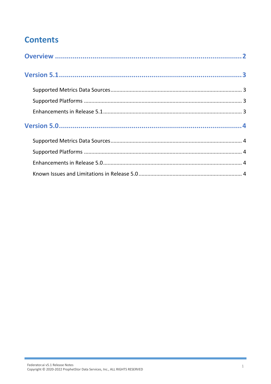# **Contents**

i.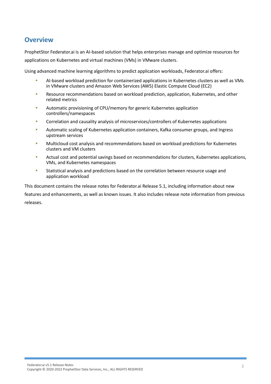### <span id="page-2-0"></span>**Overview**

ProphetStor Federator.ai is an AI-based solution that helps enterprises manage and optimize resources for applications on Kubernetes and virtual machines (VMs) in VMware clusters.

Using advanced machine learning algorithms to predict application workloads, Federator.ai offers:

- AI-based workload prediction for containerized applications in Kubernetes clusters as well as VMs in VMware clusters and Amazon Web Services (AWS) Elastic Compute Cloud (EC2)
- Resource recommendations based on workload prediction, application, Kubernetes, and other related metrics
- Automatic provisioning of CPU/memory for generic Kubernetes application controllers/namespaces
- Correlation and causality analysis of microservices/controllers of Kubernetes applications
- Automatic scaling of Kubernetes application containers, Kafka consumer groups, and Ingress upstream services
- Multicloud cost analysis and recommendations based on workload predictions for Kubernetes clusters and VM clusters
- Actual cost and potential savings based on recommendations for clusters, Kubernetes applications, VMs, and Kubernetes namespaces
- Statistical analysis and predictions based on the correlation between resource usage and application workload

This document contains the release notes for Federator.ai Release 5.1, including information about new features and enhancements, as well as known issues. It also includes release note information from previous releases.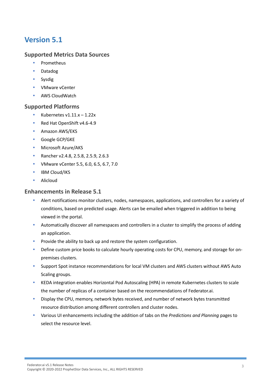# <span id="page-3-0"></span>**Version 5.1**

#### <span id="page-3-1"></span>**Supported Metrics Data Sources**

- Prometheus
- Datadog
- Sysdig
- VMware vCenter
- AWS CloudWatch

#### <span id="page-3-2"></span>**Supported Platforms**

- Kubernetes v1.11.x 1.22x
- Red Hat OpenShift v4.6-4.9
- Amazon AWS/EKS
- Google GCP/GKE
- Microsoft Azure/AKS
- **Rancher v2.4.8, 2.5.8, 2.5.9, 2.6.3**
- VMware vCenter 5.5, 6.0, 6.5, 6.7, 7.0
- IBM Cloud/IKS
- Alicloud

#### <span id="page-3-3"></span>**Enhancements in Release 5.1**

- Alert notifications monitor clusters, nodes, namespaces, applications, and controllers for a variety of conditions, based on predicted usage. Alerts can be emailed when triggered in addition to being viewed in the portal.
- Automatically discover all namespaces and controllers in a cluster to simplify the process of adding an application.
- Provide the ability to back up and restore the system configuration.
- Define custom price books to calculate hourly operating costs for CPU, memory, and storage for onpremises clusters.
- Support Spot instance recommendations for local VM clusters and AWS clusters without AWS Auto Scaling groups.
- KEDA integration enables Horizontal Pod Autoscaling (HPA) in remote Kubernetes clusters to scale the number of replicas of a container based on the recommendations of Federator.ai.
- Display the CPU, memory, network bytes received, and number of network bytes transmitted resource distribution among different controllers and cluster nodes.
- Various UI enhancements including the addition of tabs on the *Predictions and Planning* pages to select the resource level.